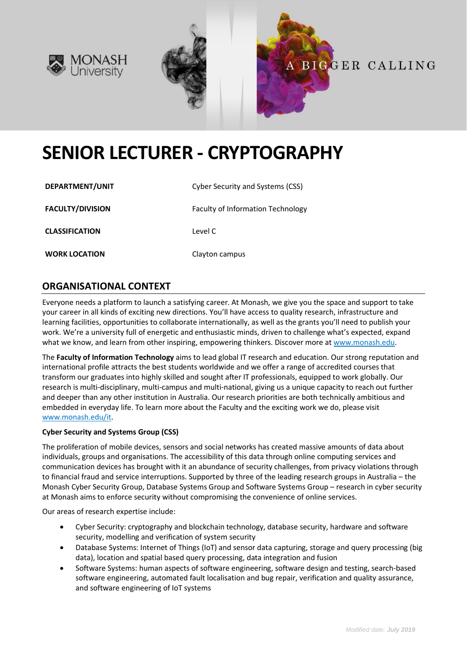





# **SENIOR LECTURER - CRYPTOGRAPHY**

| DEPARTMENT/UNIT         | Cyber Security and Systems (CSS)  |
|-------------------------|-----------------------------------|
| <b>FACULTY/DIVISION</b> | Faculty of Information Technology |
| <b>CLASSIFICATION</b>   | Level C                           |
| <b>WORK LOCATION</b>    | Clayton campus                    |

## **ORGANISATIONAL CONTEXT**

Everyone needs a platform to launch a satisfying career. At Monash, we give you the space and support to take your career in all kinds of exciting new directions. You'll have access to quality research, infrastructure and learning facilities, opportunities to collaborate internationally, as well as the grants you'll need to publish your work. We're a university full of energetic and enthusiastic minds, driven to challenge what's expected, expand what we know, and learn from other inspiring, empowering thinkers. Discover more a[t www.monash.edu.](http://www.monash.edu/)

The **Faculty of Information Technology** aims to lead global IT research and education. Our strong reputation and international profile attracts the best students worldwide and we offer a range of accredited courses that transform our graduates into highly skilled and sought after IT professionals, equipped to work globally. Our research is multi-disciplinary, multi-campus and multi-national, giving us a unique capacity to reach out further and deeper than any other institution in Australia. Our research priorities are both technically ambitious and embedded in everyday life. To learn more about the Faculty and the exciting work we do, please visit [www.monash.edu/it.](http://www.monash.edu/it)

#### **Cyber Security and Systems Group (CSS)**

The proliferation of mobile devices, sensors and social networks has created massive amounts of data about individuals, groups and organisations. The accessibility of this data through online computing services and communication devices has brought with it an abundance of security challenges, from privacy violations through to financial fraud and service interruptions. Supported by three of the leading research groups in Australia – the Monash Cyber Security Group, Database Systems Group and Software Systems Group – research in cyber security at Monash aims to enforce security without compromising the convenience of online services.

Our areas of research expertise include:

- Cyber Security: cryptography and blockchain technology, database security, hardware and software security, modelling and verification of system security
- Database Systems: Internet of Things (IoT) and sensor data capturing, storage and query processing (big data), location and spatial based query processing, data integration and fusion
- Software Systems: human aspects of software engineering, software design and testing, search-based software engineering, automated fault localisation and bug repair, verification and quality assurance, and software engineering of IoT systems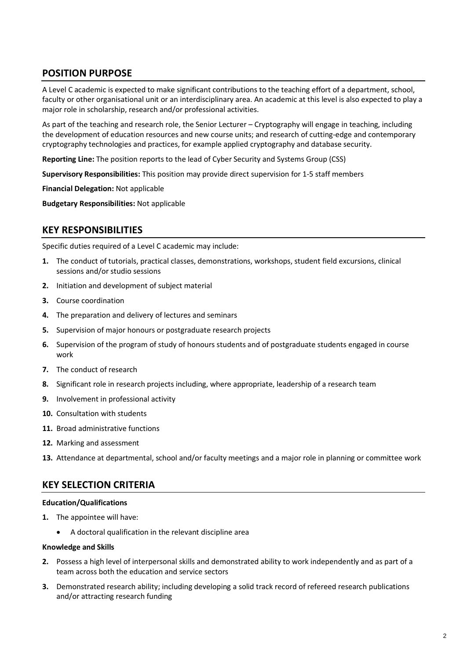# **POSITION PURPOSE**

A Level C academic is expected to make significant contributions to the teaching effort of a department, school, faculty or other organisational unit or an interdisciplinary area. An academic at this level is also expected to play a major role in scholarship, research and/or professional activities.

As part of the teaching and research role, the Senior Lecturer – Cryptography will engage in teaching, including the development of education resources and new course units; and research of cutting-edge and contemporary cryptography technologies and practices, for example applied cryptography and database security.

**Reporting Line:** The position reports to the lead of Cyber Security and Systems Group (CSS)

**Supervisory Responsibilities:** This position may provide direct supervision for 1-5 staff members

**Financial Delegation:** Not applicable

**Budgetary Responsibilities:** Not applicable

## **KEY RESPONSIBILITIES**

Specific duties required of a Level C academic may include:

- **1.** The conduct of tutorials, practical classes, demonstrations, workshops, student field excursions, clinical sessions and/or studio sessions
- **2.** Initiation and development of subject material
- **3.** Course coordination
- **4.** The preparation and delivery of lectures and seminars
- **5.** Supervision of major honours or postgraduate research projects
- **6.** Supervision of the program of study of honours students and of postgraduate students engaged in course work
- **7.** The conduct of research
- **8.** Significant role in research projects including, where appropriate, leadership of a research team
- **9.** Involvement in professional activity
- **10.** Consultation with students
- **11.** Broad administrative functions
- **12.** Marking and assessment
- **13.** Attendance at departmental, school and/or faculty meetings and a major role in planning or committee work

## **KEY SELECTION CRITERIA**

#### **Education/Qualifications**

- **1.** The appointee will have:
	- A doctoral qualification in the relevant discipline area

#### **Knowledge and Skills**

- **2.** Possess a high level of interpersonal skills and demonstrated ability to work independently and as part of a team across both the education and service sectors
- **3.** Demonstrated research ability; including developing a solid track record of refereed research publications and/or attracting research funding